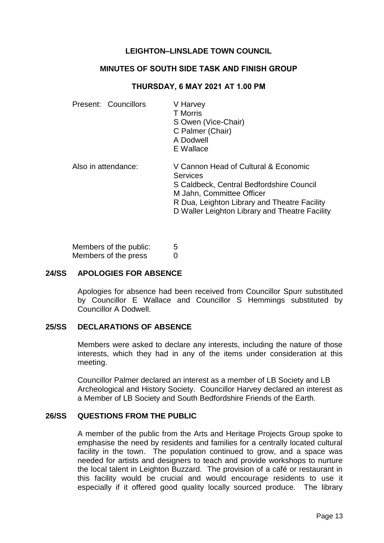## **LEIGHTON–LINSLADE TOWN COUNCIL**

#### **MINUTES OF SOUTH SIDE TASK AND FINISH GROUP**

#### **THURSDAY, 6 MAY 2021 AT 1.00 PM**

| Present: Councillors | V Harvey<br><b>T</b> Morris<br>S Owen (Vice-Chair)<br>C Palmer (Chair)<br>A Dodwell<br>E Wallace                                                                                                                                   |
|----------------------|------------------------------------------------------------------------------------------------------------------------------------------------------------------------------------------------------------------------------------|
| Also in attendance:  | V Cannon Head of Cultural & Economic<br><b>Services</b><br>S Caldbeck, Central Bedfordshire Council<br>M Jahn, Committee Officer<br>R Dua, Leighton Library and Theatre Facility<br>D Waller Leighton Library and Theatre Facility |

Members of the public: 5 Members of the press 0

## **24/SS APOLOGIES FOR ABSENCE**

Apologies for absence had been received from Councillor Spurr substituted by Councillor E Wallace and Councillor S Hemmings substituted by Councillor A Dodwell.

#### **25/SS DECLARATIONS OF ABSENCE**

Members were asked to declare any interests, including the nature of those interests, which they had in any of the items under consideration at this meeting.

Councillor Palmer declared an interest as a member of LB Society and LB Archeological and History Society. Councillor Harvey declared an interest as a Member of LB Society and South Bedfordshire Friends of the Earth.

## **26/SS QUESTIONS FROM THE PUBLIC**

A member of the public from the Arts and Heritage Projects Group spoke to emphasise the need by residents and families for a centrally located cultural facility in the town. The population continued to grow, and a space was needed for artists and designers to teach and provide workshops to nurture the local talent in Leighton Buzzard. The provision of a café or restaurant in this facility would be crucial and would encourage residents to use it especially if it offered good quality locally sourced produce. The library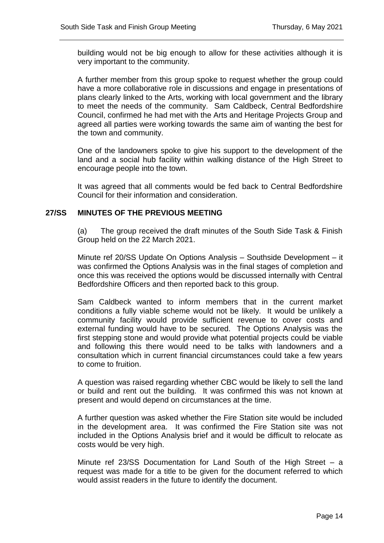building would not be big enough to allow for these activities although it is very important to the community.

A further member from this group spoke to request whether the group could have a more collaborative role in discussions and engage in presentations of plans clearly linked to the Arts, working with local government and the library to meet the needs of the community. Sam Caldbeck, Central Bedfordshire Council, confirmed he had met with the Arts and Heritage Projects Group and agreed all parties were working towards the same aim of wanting the best for the town and community.

One of the landowners spoke to give his support to the development of the land and a social hub facility within walking distance of the High Street to encourage people into the town.

It was agreed that all comments would be fed back to Central Bedfordshire Council for their information and consideration.

## **27/SS MINUTES OF THE PREVIOUS MEETING**

(a) The group received the draft minutes of the South Side Task & Finish Group held on the 22 March 2021.

Minute ref 20/SS Update On Options Analysis – Southside Development – it was confirmed the Options Analysis was in the final stages of completion and once this was received the options would be discussed internally with Central Bedfordshire Officers and then reported back to this group.

Sam Caldbeck wanted to inform members that in the current market conditions a fully viable scheme would not be likely. It would be unlikely a community facility would provide sufficient revenue to cover costs and external funding would have to be secured. The Options Analysis was the first stepping stone and would provide what potential projects could be viable and following this there would need to be talks with landowners and a consultation which in current financial circumstances could take a few years to come to fruition.

A question was raised regarding whether CBC would be likely to sell the land or build and rent out the building. It was confirmed this was not known at present and would depend on circumstances at the time.

A further question was asked whether the Fire Station site would be included in the development area. It was confirmed the Fire Station site was not included in the Options Analysis brief and it would be difficult to relocate as costs would be very high.

Minute ref 23/SS Documentation for Land South of the High Street – a request was made for a title to be given for the document referred to which would assist readers in the future to identify the document.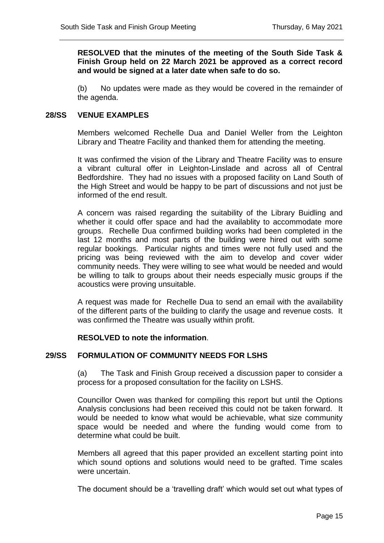**RESOLVED that the minutes of the meeting of the South Side Task & Finish Group held on 22 March 2021 be approved as a correct record and would be signed at a later date when safe to do so.**

(b) No updates were made as they would be covered in the remainder of the agenda.

#### **28/SS VENUE EXAMPLES**

Members welcomed Rechelle Dua and Daniel Weller from the Leighton Library and Theatre Facility and thanked them for attending the meeting.

It was confirmed the vision of the Library and Theatre Facility was to ensure a vibrant cultural offer in Leighton-Linslade and across all of Central Bedfordshire. They had no issues with a proposed facility on Land South of the High Street and would be happy to be part of discussions and not just be informed of the end result.

A concern was raised regarding the suitability of the Library Buidling and whether it could offer space and had the availablity to accommodate more groups. Rechelle Dua confirmed building works had been completed in the last 12 months and most parts of the building were hired out with some regular bookings. Particular nights and times were not fully used and the pricing was being reviewed with the aim to develop and cover wider community needs. They were willing to see what would be needed and would be willing to talk to groups about their needs especially music groups if the acoustics were proving unsuitable.

A request was made for Rechelle Dua to send an email with the availability of the different parts of the building to clarify the usage and revenue costs. It was confirmed the Theatre was usually within profit.

#### **RESOLVED to note the information**.

#### **29/SS FORMULATION OF COMMUNITY NEEDS FOR LSHS**

(a) The Task and Finish Group received a discussion paper to consider a process for a proposed consultation for the facility on LSHS.

Councillor Owen was thanked for compiling this report but until the Options Analysis conclusions had been received this could not be taken forward. It would be needed to know what would be achievable, what size community space would be needed and where the funding would come from to determine what could be built.

Members all agreed that this paper provided an excellent starting point into which sound options and solutions would need to be grafted. Time scales were uncertain.

The document should be a 'travelling draft' which would set out what types of